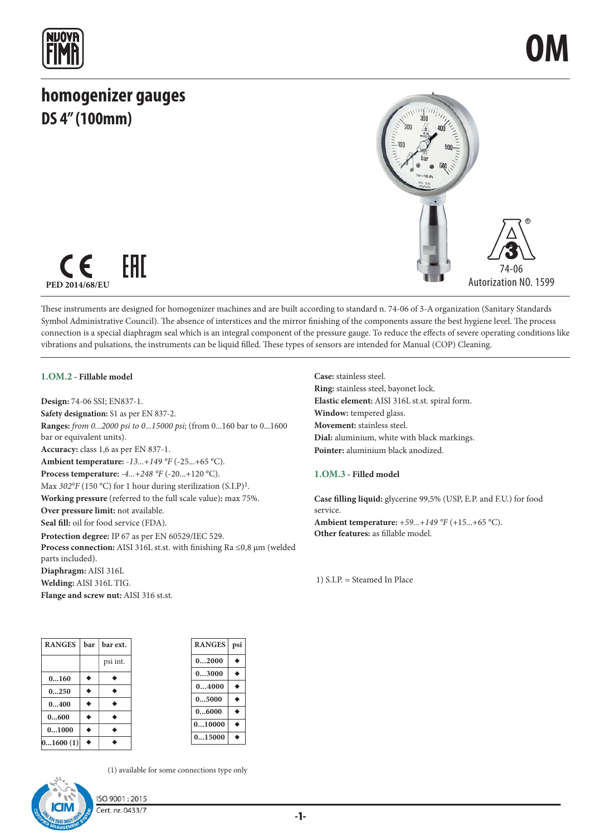## **homogenizer gauges DS 4" (100mm)**





These instruments are designed for homogenizer machines and are built according to standard n. 74-06 of 3-A organization (Sanitary Standards Symbol Administrative Council). The absence of interstices and the mirror finishing of the components assure the best hygiene level. The process connection is a special diaphragm seal which is an integral component of the pressure gauge. To reduce the effects of severe operating conditions like vibrations and pulsations, the instruments can be liquid filled. These types of sensors are intended for Manual (COP) Cleaning.

### **1.OM.2 - Fillable model**

**Design:** 74-06 SSI; EN837-1. **Safety designation:** S1 as per EN 837-2. **Ranges:** *from 0...2000 psi to 0...15000 psi*; (from 0...160 bar to 0...1600 bar or equivalent units). **Accuracy:** class 1,6 as per EN 837-1. **Ambient temperature:** *-13...+149 °F* (-25...+65 °C). **Process temperature:** *-4...+248 °F* (-20...+120 °C). Max  $302^{\circ}F(150^{\circ}C)$  for 1 hour during sterilization (S.I.P)<sup>1</sup>. **Working pressure** (referred to the full scale value)**:** max 75%. **Over pressure limit:** not available. **Seal fill:** oil for food service (FDA). **Protection degree:** IP 67 as per EN 60529/IEC 529. **Process connection:** AISI 316L st.st. with finishing Ra ≤0,8 μm (welded parts included). **Diaphragm:** AISI 316L **Welding:** AISI 316L TIG. **Flange and screw nut:** AISI 316 st.st.

**Case:** stainless steel. **Ring:** stainless steel, bayonet lock. **Elastic element:** AISI 316L st.st. spiral form. **Window:** tempered glass. **Movement:** stainless steel. **Dial:** aluminium, white with black markings. **Pointer:** aluminium black anodized.

### **1.OM.3 - Filled model**

**Case filling liquid:** glycerine 99,5% (USP, E.P. and F.U.) for food service. **Ambient temperature:** *+59...+149 °F* (+15...+65 °C). **Other features:** as fillable model.

1) S.I.P. = Steamed In Place

| <b>RANGES</b> | bar | bar ext. |
|---------------|-----|----------|
|               |     | psi int. |
| 0160          |     |          |
| 0250          |     |          |
| 0400          |     |          |
| 0600          |     |          |
| 01000         |     |          |
| 01600(1)      |     |          |





(1) available for some connections type only

ISO 9001:2015 Cert. nr. 0433/7